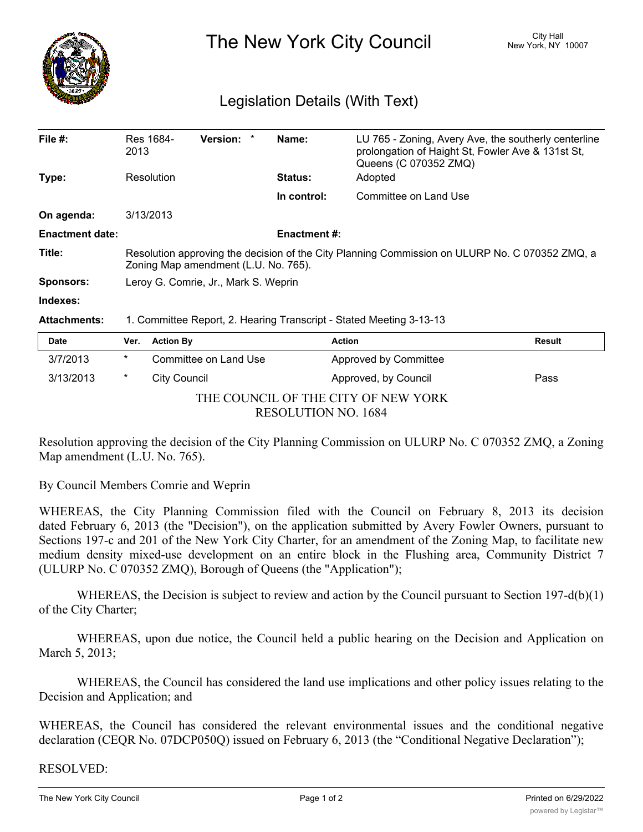

The New York City Council New York, NY 10007

## Legislation Details (With Text)

| File #:                | 2013                                                                                                                                   | Res 1684-        | Version:              | * | Name:          | LU 765 - Zoning, Avery Ave, the southerly centerline<br>prolongation of Haight St, Fowler Ave & 131st St,<br>Queens (C 070352 ZMQ) |        |
|------------------------|----------------------------------------------------------------------------------------------------------------------------------------|------------------|-----------------------|---|----------------|------------------------------------------------------------------------------------------------------------------------------------|--------|
| Type:                  |                                                                                                                                        | Resolution       |                       |   | <b>Status:</b> | Adopted                                                                                                                            |        |
|                        |                                                                                                                                        |                  |                       |   | In control:    | Committee on Land Use                                                                                                              |        |
| On agenda:             | 3/13/2013                                                                                                                              |                  |                       |   |                |                                                                                                                                    |        |
| <b>Enactment date:</b> | <b>Enactment#:</b>                                                                                                                     |                  |                       |   |                |                                                                                                                                    |        |
| Title:                 | Resolution approving the decision of the City Planning Commission on ULURP No. C 070352 ZMQ, a<br>Zoning Map amendment (L.U. No. 765). |                  |                       |   |                |                                                                                                                                    |        |
| <b>Sponsors:</b>       | Leroy G. Comrie, Jr., Mark S. Weprin                                                                                                   |                  |                       |   |                |                                                                                                                                    |        |
| Indexes:               |                                                                                                                                        |                  |                       |   |                |                                                                                                                                    |        |
| <b>Attachments:</b>    | 1. Committee Report, 2. Hearing Transcript - Stated Meeting 3-13-13                                                                    |                  |                       |   |                |                                                                                                                                    |        |
| <b>Date</b>            | Ver.                                                                                                                                   | <b>Action By</b> |                       |   |                | <b>Action</b>                                                                                                                      | Result |
| 3/7/2013               | $^\star$                                                                                                                               |                  | Committee on Land Use |   |                | Approved by Committee                                                                                                              |        |
| 3/13/2013              | *                                                                                                                                      | City Council     |                       |   |                | Approved, by Council                                                                                                               | Pass   |

THE COUNCIL OF THE CITY OF NEW YORK

RESOLUTION NO. 1684

Resolution approving the decision of the City Planning Commission on ULURP No. C 070352 ZMQ, a Zoning Map amendment (L.U. No. 765).

By Council Members Comrie and Weprin

WHEREAS, the City Planning Commission filed with the Council on February 8, 2013 its decision dated February 6, 2013 (the "Decision"), on the application submitted by Avery Fowler Owners, pursuant to Sections 197-c and 201 of the New York City Charter, for an amendment of the Zoning Map, to facilitate new medium density mixed-use development on an entire block in the Flushing area, Community District 7 (ULURP No. C 070352 ZMQ), Borough of Queens (the "Application");

WHEREAS, the Decision is subject to review and action by the Council pursuant to Section  $197-d(b)(1)$ of the City Charter;

WHEREAS, upon due notice, the Council held a public hearing on the Decision and Application on March 5, 2013;

WHEREAS, the Council has considered the land use implications and other policy issues relating to the Decision and Application; and

WHEREAS, the Council has considered the relevant environmental issues and the conditional negative declaration (CEQR No. 07DCP050Q) issued on February 6, 2013 (the "Conditional Negative Declaration");

## RESOLVED: